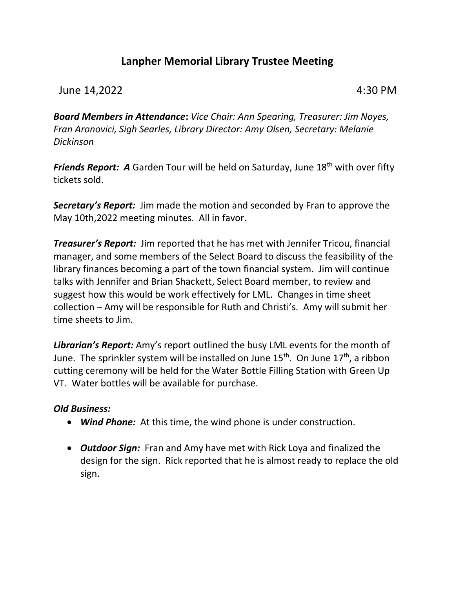# **Lanpher Memorial Library Trustee Meeting**

## June 14,2022 4:30 PM

*Board Members in Attendance***:** *Vice Chair: Ann Spearing, Treasurer: Jim Noyes, Fran Aronovici, Sigh Searles, Library Director: Amy Olsen, Secretary: Melanie Dickinson*

**Friends Report: A** Garden Tour will be held on Saturday, June 18<sup>th</sup> with over fifty tickets sold.

*Secretary's Report:* Jim made the motion and seconded by Fran to approve the May 10th,2022 meeting minutes. All in favor.

*Treasurer's Report:* Jim reported that he has met with Jennifer Tricou, financial manager, and some members of the Select Board to discuss the feasibility of the library finances becoming a part of the town financial system. Jim will continue talks with Jennifer and Brian Shackett, Select Board member, to review and suggest how this would be work effectively for LML. Changes in time sheet collection – Amy will be responsible for Ruth and Christi's. Amy will submit her time sheets to Jim.

*Librarian's Report:* Amy's report outlined the busy LML events for the month of June. The sprinkler system will be installed on June  $15^{th}$ . On June  $17^{th}$ , a ribbon cutting ceremony will be held for the Water Bottle Filling Station with Green Up VT. Water bottles will be available for purchase.

## *Old Business:*

- *Wind Phone:* At this time, the wind phone is under construction.
- *Outdoor Sign:* Fran and Amy have met with Rick Loya and finalized the design for the sign. Rick reported that he is almost ready to replace the old sign.